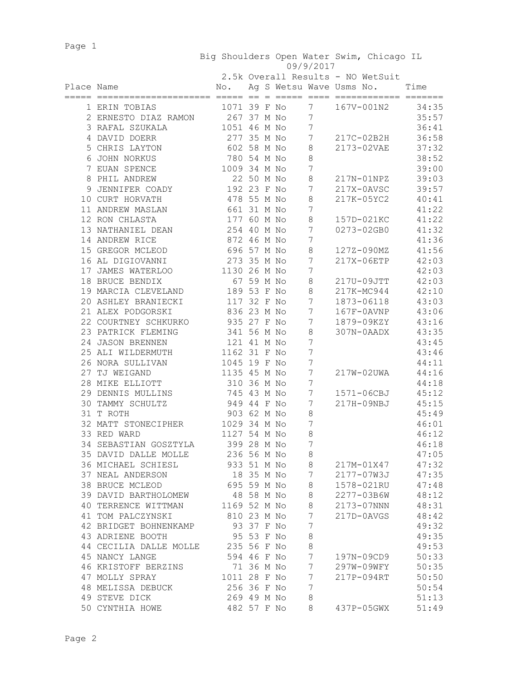Page 1

| 09/9/2017 |
|-----------|
|-----------|

| Place Name<br>Ag S Wetsu Wave Usms No.<br>Time<br>No.<br>=====<br>$=$<br>1071 39 F No<br>34:35<br>7<br>167V-001N2<br>1 ERIN TOBIAS<br>267 37 M No<br>35:57<br>7<br>2 ERNESTO DIAZ RAMON<br>1051 46 M No<br>7<br>36:41<br>3 RAFAL SZUKALA<br>277 35 M No<br>7<br>217C-02B2H<br>36:58<br>4 DAVID DOERR<br>602 58 M No<br>37:32<br>5 CHRIS LAYTON<br>8<br>2173-02VAE<br>38:52<br>6 JOHN NORKUS<br>780 54 M No<br>8<br>1009 34 M No<br>$\boldsymbol{7}$<br>39:00<br>7 EUAN SPENCE<br>22 50 M No<br>8 PHIL ANDREW<br>8<br>39:03<br>217N-01NPZ<br>192 23 F No<br>7<br>217X-0AVSC<br>39:57<br>9 JENNIFER COADY<br>478 55 M No<br>10 CURT HORVATH<br>8<br>217K-05YC2<br>40:41<br>661 31 M No<br>7<br>41:22<br>11 ANDREW MASLAN<br>41:22<br>12 RON CHLASTA<br>177 60 M No<br>8<br>157D-021KC<br>254 40 M No<br>41:32<br>13 NATHANIEL DEAN<br>7<br>0273-02GB0<br>7<br>872 46 M No<br>41:36<br>14 ANDREW RICE<br>696 57 M No<br>8<br>41:56<br>15 GREGOR MCLEOD<br>127Z-090MZ<br>273 35 M No<br>42:03<br>16 AL DIGIOVANNI<br>7<br>217X-06ETP<br>1130 26 M No<br>7<br>42:03<br>17 JAMES WATERLOO<br>67 59 M No<br>42:03<br>8<br>217U-09JTT<br>18 BRUCE BENDIX<br>189 53 F No<br>8<br>217K-MC944<br>42:10<br>19 MARCIA CLEVELAND<br>117 32 F No<br>43:03<br>20 ASHLEY BRANIECKI<br>7<br>1873-06118<br>21 ALEX PODGORSKI<br>836 23 M No<br>7<br>43:06<br>$167F-0AVNP$<br>935 27 F No<br>1879-09KZY<br>43:16<br>22 COURTNEY SCHKURKO<br>7<br>23 PATRICK FLEMING<br>341 56 M No<br>43:35<br>8<br>307N-0AADX<br>24 JASON BRENNEN<br>121 41 M No<br>7<br>43:45<br>1162 31 F No<br>7<br>43:46<br>25 ALI WILDERMUTH<br>26 NORA SULLIVAN<br>1045 19 F No<br>44:11<br>7<br>27 TJ WEIGAND<br>1135 45 M No<br>7<br>44:16<br>217W-02UWA<br>28 MIKE ELLIOTT<br>310 36 M No<br>7<br>44:18<br>45:12<br>29 DENNIS MULLINS<br>745 43 M No<br>7<br>1571-06CBJ<br>TAMMY SCHULTZ<br>949 44 F No<br>45:15<br>30<br>7<br>217H-09NBJ<br>903<br>62 M No<br>45:49<br>31 T ROTH<br>8<br>1029 34 M No<br>32 MATT STONECIPHER<br>7<br>46:01<br>33 RED WARD<br>1127 54 M No<br>8<br>46:12<br>34 SEBASTIAN GOSZTYLA<br>399 28 M No<br>7<br>46:18<br>236 56 M No<br>47:05<br>35 DAVID DALLE MOLLE<br>8<br>36 MICHAEL SCHIESL 933 51 M No<br>217M-01X47 47:32<br>8<br>7 2177-07W3J 47:35<br>37 NEAL ANDERSON<br>18 35 M No<br>38 BRUCE MCLEOD<br>695 59 M No<br>8<br>47:48<br>1578-021RU<br>8<br>39 DAVID BARTHOLOMEW<br>48 58 M No<br>2277-03B6W<br>48:12<br>40 TERRENCE WITTMAN 1169 52 M No<br>8<br>2173-07NNN<br>48:31<br>$7\phantom{.}$<br>48:42<br>41 TOM PALCZYNSKI<br>810 23 M No<br>217D-0AVGS<br>93 37 F No<br>$\overline{7}$<br>49:32<br>42 BRIDGET BOHNENKAMP<br>49:35<br>95 53 F No<br>$\,8\,$<br>43 ADRIENE BOOTH<br>8<br>49:53<br>44 CECILIA DALLE MOLLE 235 56 F No<br>$\overline{7}$<br>50:33<br>45 NANCY LANGE<br>594 46 F No<br>197N-09CD9<br>71 36 M No<br>$7\phantom{.0}$<br>50:35<br>46 KRISTOFF BERZINS<br>297W-09WFY<br>1011 28 F No<br>$7\phantom{.}$<br>50:50<br>47 MOLLY SPRAY<br>217P-094RT<br>256 36 F No<br>48 MELISSA DEBUCK<br>7<br>50:54<br>269 49 M No<br>49 STEVE DICK<br>8<br>51:13<br>50 CYNTHIA HOWE<br>482 57 F No<br>8<br>437P-05GWX<br>51:49 |  |  |  | 2.5k Overall Results - NO WetSuit |  |
|-----------------------------------------------------------------------------------------------------------------------------------------------------------------------------------------------------------------------------------------------------------------------------------------------------------------------------------------------------------------------------------------------------------------------------------------------------------------------------------------------------------------------------------------------------------------------------------------------------------------------------------------------------------------------------------------------------------------------------------------------------------------------------------------------------------------------------------------------------------------------------------------------------------------------------------------------------------------------------------------------------------------------------------------------------------------------------------------------------------------------------------------------------------------------------------------------------------------------------------------------------------------------------------------------------------------------------------------------------------------------------------------------------------------------------------------------------------------------------------------------------------------------------------------------------------------------------------------------------------------------------------------------------------------------------------------------------------------------------------------------------------------------------------------------------------------------------------------------------------------------------------------------------------------------------------------------------------------------------------------------------------------------------------------------------------------------------------------------------------------------------------------------------------------------------------------------------------------------------------------------------------------------------------------------------------------------------------------------------------------------------------------------------------------------------------------------------------------------------------------------------------------------------------------------------------------------------------------------------------------------------------------------------------------------------------------------------------------------------------------------------------------------------------------------------------------------------------------------------------------------------------------------------------------------------------------------------------------------------------------------------------------------------------------------------------------------------------------------------------------------------------------|--|--|--|-----------------------------------|--|
|                                                                                                                                                                                                                                                                                                                                                                                                                                                                                                                                                                                                                                                                                                                                                                                                                                                                                                                                                                                                                                                                                                                                                                                                                                                                                                                                                                                                                                                                                                                                                                                                                                                                                                                                                                                                                                                                                                                                                                                                                                                                                                                                                                                                                                                                                                                                                                                                                                                                                                                                                                                                                                                                                                                                                                                                                                                                                                                                                                                                                                                                                                                                         |  |  |  |                                   |  |
|                                                                                                                                                                                                                                                                                                                                                                                                                                                                                                                                                                                                                                                                                                                                                                                                                                                                                                                                                                                                                                                                                                                                                                                                                                                                                                                                                                                                                                                                                                                                                                                                                                                                                                                                                                                                                                                                                                                                                                                                                                                                                                                                                                                                                                                                                                                                                                                                                                                                                                                                                                                                                                                                                                                                                                                                                                                                                                                                                                                                                                                                                                                                         |  |  |  |                                   |  |
|                                                                                                                                                                                                                                                                                                                                                                                                                                                                                                                                                                                                                                                                                                                                                                                                                                                                                                                                                                                                                                                                                                                                                                                                                                                                                                                                                                                                                                                                                                                                                                                                                                                                                                                                                                                                                                                                                                                                                                                                                                                                                                                                                                                                                                                                                                                                                                                                                                                                                                                                                                                                                                                                                                                                                                                                                                                                                                                                                                                                                                                                                                                                         |  |  |  |                                   |  |
|                                                                                                                                                                                                                                                                                                                                                                                                                                                                                                                                                                                                                                                                                                                                                                                                                                                                                                                                                                                                                                                                                                                                                                                                                                                                                                                                                                                                                                                                                                                                                                                                                                                                                                                                                                                                                                                                                                                                                                                                                                                                                                                                                                                                                                                                                                                                                                                                                                                                                                                                                                                                                                                                                                                                                                                                                                                                                                                                                                                                                                                                                                                                         |  |  |  |                                   |  |
|                                                                                                                                                                                                                                                                                                                                                                                                                                                                                                                                                                                                                                                                                                                                                                                                                                                                                                                                                                                                                                                                                                                                                                                                                                                                                                                                                                                                                                                                                                                                                                                                                                                                                                                                                                                                                                                                                                                                                                                                                                                                                                                                                                                                                                                                                                                                                                                                                                                                                                                                                                                                                                                                                                                                                                                                                                                                                                                                                                                                                                                                                                                                         |  |  |  |                                   |  |
|                                                                                                                                                                                                                                                                                                                                                                                                                                                                                                                                                                                                                                                                                                                                                                                                                                                                                                                                                                                                                                                                                                                                                                                                                                                                                                                                                                                                                                                                                                                                                                                                                                                                                                                                                                                                                                                                                                                                                                                                                                                                                                                                                                                                                                                                                                                                                                                                                                                                                                                                                                                                                                                                                                                                                                                                                                                                                                                                                                                                                                                                                                                                         |  |  |  |                                   |  |
|                                                                                                                                                                                                                                                                                                                                                                                                                                                                                                                                                                                                                                                                                                                                                                                                                                                                                                                                                                                                                                                                                                                                                                                                                                                                                                                                                                                                                                                                                                                                                                                                                                                                                                                                                                                                                                                                                                                                                                                                                                                                                                                                                                                                                                                                                                                                                                                                                                                                                                                                                                                                                                                                                                                                                                                                                                                                                                                                                                                                                                                                                                                                         |  |  |  |                                   |  |
|                                                                                                                                                                                                                                                                                                                                                                                                                                                                                                                                                                                                                                                                                                                                                                                                                                                                                                                                                                                                                                                                                                                                                                                                                                                                                                                                                                                                                                                                                                                                                                                                                                                                                                                                                                                                                                                                                                                                                                                                                                                                                                                                                                                                                                                                                                                                                                                                                                                                                                                                                                                                                                                                                                                                                                                                                                                                                                                                                                                                                                                                                                                                         |  |  |  |                                   |  |
|                                                                                                                                                                                                                                                                                                                                                                                                                                                                                                                                                                                                                                                                                                                                                                                                                                                                                                                                                                                                                                                                                                                                                                                                                                                                                                                                                                                                                                                                                                                                                                                                                                                                                                                                                                                                                                                                                                                                                                                                                                                                                                                                                                                                                                                                                                                                                                                                                                                                                                                                                                                                                                                                                                                                                                                                                                                                                                                                                                                                                                                                                                                                         |  |  |  |                                   |  |
|                                                                                                                                                                                                                                                                                                                                                                                                                                                                                                                                                                                                                                                                                                                                                                                                                                                                                                                                                                                                                                                                                                                                                                                                                                                                                                                                                                                                                                                                                                                                                                                                                                                                                                                                                                                                                                                                                                                                                                                                                                                                                                                                                                                                                                                                                                                                                                                                                                                                                                                                                                                                                                                                                                                                                                                                                                                                                                                                                                                                                                                                                                                                         |  |  |  |                                   |  |
|                                                                                                                                                                                                                                                                                                                                                                                                                                                                                                                                                                                                                                                                                                                                                                                                                                                                                                                                                                                                                                                                                                                                                                                                                                                                                                                                                                                                                                                                                                                                                                                                                                                                                                                                                                                                                                                                                                                                                                                                                                                                                                                                                                                                                                                                                                                                                                                                                                                                                                                                                                                                                                                                                                                                                                                                                                                                                                                                                                                                                                                                                                                                         |  |  |  |                                   |  |
|                                                                                                                                                                                                                                                                                                                                                                                                                                                                                                                                                                                                                                                                                                                                                                                                                                                                                                                                                                                                                                                                                                                                                                                                                                                                                                                                                                                                                                                                                                                                                                                                                                                                                                                                                                                                                                                                                                                                                                                                                                                                                                                                                                                                                                                                                                                                                                                                                                                                                                                                                                                                                                                                                                                                                                                                                                                                                                                                                                                                                                                                                                                                         |  |  |  |                                   |  |
|                                                                                                                                                                                                                                                                                                                                                                                                                                                                                                                                                                                                                                                                                                                                                                                                                                                                                                                                                                                                                                                                                                                                                                                                                                                                                                                                                                                                                                                                                                                                                                                                                                                                                                                                                                                                                                                                                                                                                                                                                                                                                                                                                                                                                                                                                                                                                                                                                                                                                                                                                                                                                                                                                                                                                                                                                                                                                                                                                                                                                                                                                                                                         |  |  |  |                                   |  |
|                                                                                                                                                                                                                                                                                                                                                                                                                                                                                                                                                                                                                                                                                                                                                                                                                                                                                                                                                                                                                                                                                                                                                                                                                                                                                                                                                                                                                                                                                                                                                                                                                                                                                                                                                                                                                                                                                                                                                                                                                                                                                                                                                                                                                                                                                                                                                                                                                                                                                                                                                                                                                                                                                                                                                                                                                                                                                                                                                                                                                                                                                                                                         |  |  |  |                                   |  |
|                                                                                                                                                                                                                                                                                                                                                                                                                                                                                                                                                                                                                                                                                                                                                                                                                                                                                                                                                                                                                                                                                                                                                                                                                                                                                                                                                                                                                                                                                                                                                                                                                                                                                                                                                                                                                                                                                                                                                                                                                                                                                                                                                                                                                                                                                                                                                                                                                                                                                                                                                                                                                                                                                                                                                                                                                                                                                                                                                                                                                                                                                                                                         |  |  |  |                                   |  |
|                                                                                                                                                                                                                                                                                                                                                                                                                                                                                                                                                                                                                                                                                                                                                                                                                                                                                                                                                                                                                                                                                                                                                                                                                                                                                                                                                                                                                                                                                                                                                                                                                                                                                                                                                                                                                                                                                                                                                                                                                                                                                                                                                                                                                                                                                                                                                                                                                                                                                                                                                                                                                                                                                                                                                                                                                                                                                                                                                                                                                                                                                                                                         |  |  |  |                                   |  |
|                                                                                                                                                                                                                                                                                                                                                                                                                                                                                                                                                                                                                                                                                                                                                                                                                                                                                                                                                                                                                                                                                                                                                                                                                                                                                                                                                                                                                                                                                                                                                                                                                                                                                                                                                                                                                                                                                                                                                                                                                                                                                                                                                                                                                                                                                                                                                                                                                                                                                                                                                                                                                                                                                                                                                                                                                                                                                                                                                                                                                                                                                                                                         |  |  |  |                                   |  |
|                                                                                                                                                                                                                                                                                                                                                                                                                                                                                                                                                                                                                                                                                                                                                                                                                                                                                                                                                                                                                                                                                                                                                                                                                                                                                                                                                                                                                                                                                                                                                                                                                                                                                                                                                                                                                                                                                                                                                                                                                                                                                                                                                                                                                                                                                                                                                                                                                                                                                                                                                                                                                                                                                                                                                                                                                                                                                                                                                                                                                                                                                                                                         |  |  |  |                                   |  |
|                                                                                                                                                                                                                                                                                                                                                                                                                                                                                                                                                                                                                                                                                                                                                                                                                                                                                                                                                                                                                                                                                                                                                                                                                                                                                                                                                                                                                                                                                                                                                                                                                                                                                                                                                                                                                                                                                                                                                                                                                                                                                                                                                                                                                                                                                                                                                                                                                                                                                                                                                                                                                                                                                                                                                                                                                                                                                                                                                                                                                                                                                                                                         |  |  |  |                                   |  |
|                                                                                                                                                                                                                                                                                                                                                                                                                                                                                                                                                                                                                                                                                                                                                                                                                                                                                                                                                                                                                                                                                                                                                                                                                                                                                                                                                                                                                                                                                                                                                                                                                                                                                                                                                                                                                                                                                                                                                                                                                                                                                                                                                                                                                                                                                                                                                                                                                                                                                                                                                                                                                                                                                                                                                                                                                                                                                                                                                                                                                                                                                                                                         |  |  |  |                                   |  |
|                                                                                                                                                                                                                                                                                                                                                                                                                                                                                                                                                                                                                                                                                                                                                                                                                                                                                                                                                                                                                                                                                                                                                                                                                                                                                                                                                                                                                                                                                                                                                                                                                                                                                                                                                                                                                                                                                                                                                                                                                                                                                                                                                                                                                                                                                                                                                                                                                                                                                                                                                                                                                                                                                                                                                                                                                                                                                                                                                                                                                                                                                                                                         |  |  |  |                                   |  |
|                                                                                                                                                                                                                                                                                                                                                                                                                                                                                                                                                                                                                                                                                                                                                                                                                                                                                                                                                                                                                                                                                                                                                                                                                                                                                                                                                                                                                                                                                                                                                                                                                                                                                                                                                                                                                                                                                                                                                                                                                                                                                                                                                                                                                                                                                                                                                                                                                                                                                                                                                                                                                                                                                                                                                                                                                                                                                                                                                                                                                                                                                                                                         |  |  |  |                                   |  |
|                                                                                                                                                                                                                                                                                                                                                                                                                                                                                                                                                                                                                                                                                                                                                                                                                                                                                                                                                                                                                                                                                                                                                                                                                                                                                                                                                                                                                                                                                                                                                                                                                                                                                                                                                                                                                                                                                                                                                                                                                                                                                                                                                                                                                                                                                                                                                                                                                                                                                                                                                                                                                                                                                                                                                                                                                                                                                                                                                                                                                                                                                                                                         |  |  |  |                                   |  |
|                                                                                                                                                                                                                                                                                                                                                                                                                                                                                                                                                                                                                                                                                                                                                                                                                                                                                                                                                                                                                                                                                                                                                                                                                                                                                                                                                                                                                                                                                                                                                                                                                                                                                                                                                                                                                                                                                                                                                                                                                                                                                                                                                                                                                                                                                                                                                                                                                                                                                                                                                                                                                                                                                                                                                                                                                                                                                                                                                                                                                                                                                                                                         |  |  |  |                                   |  |
|                                                                                                                                                                                                                                                                                                                                                                                                                                                                                                                                                                                                                                                                                                                                                                                                                                                                                                                                                                                                                                                                                                                                                                                                                                                                                                                                                                                                                                                                                                                                                                                                                                                                                                                                                                                                                                                                                                                                                                                                                                                                                                                                                                                                                                                                                                                                                                                                                                                                                                                                                                                                                                                                                                                                                                                                                                                                                                                                                                                                                                                                                                                                         |  |  |  |                                   |  |
|                                                                                                                                                                                                                                                                                                                                                                                                                                                                                                                                                                                                                                                                                                                                                                                                                                                                                                                                                                                                                                                                                                                                                                                                                                                                                                                                                                                                                                                                                                                                                                                                                                                                                                                                                                                                                                                                                                                                                                                                                                                                                                                                                                                                                                                                                                                                                                                                                                                                                                                                                                                                                                                                                                                                                                                                                                                                                                                                                                                                                                                                                                                                         |  |  |  |                                   |  |
|                                                                                                                                                                                                                                                                                                                                                                                                                                                                                                                                                                                                                                                                                                                                                                                                                                                                                                                                                                                                                                                                                                                                                                                                                                                                                                                                                                                                                                                                                                                                                                                                                                                                                                                                                                                                                                                                                                                                                                                                                                                                                                                                                                                                                                                                                                                                                                                                                                                                                                                                                                                                                                                                                                                                                                                                                                                                                                                                                                                                                                                                                                                                         |  |  |  |                                   |  |
|                                                                                                                                                                                                                                                                                                                                                                                                                                                                                                                                                                                                                                                                                                                                                                                                                                                                                                                                                                                                                                                                                                                                                                                                                                                                                                                                                                                                                                                                                                                                                                                                                                                                                                                                                                                                                                                                                                                                                                                                                                                                                                                                                                                                                                                                                                                                                                                                                                                                                                                                                                                                                                                                                                                                                                                                                                                                                                                                                                                                                                                                                                                                         |  |  |  |                                   |  |
|                                                                                                                                                                                                                                                                                                                                                                                                                                                                                                                                                                                                                                                                                                                                                                                                                                                                                                                                                                                                                                                                                                                                                                                                                                                                                                                                                                                                                                                                                                                                                                                                                                                                                                                                                                                                                                                                                                                                                                                                                                                                                                                                                                                                                                                                                                                                                                                                                                                                                                                                                                                                                                                                                                                                                                                                                                                                                                                                                                                                                                                                                                                                         |  |  |  |                                   |  |
|                                                                                                                                                                                                                                                                                                                                                                                                                                                                                                                                                                                                                                                                                                                                                                                                                                                                                                                                                                                                                                                                                                                                                                                                                                                                                                                                                                                                                                                                                                                                                                                                                                                                                                                                                                                                                                                                                                                                                                                                                                                                                                                                                                                                                                                                                                                                                                                                                                                                                                                                                                                                                                                                                                                                                                                                                                                                                                                                                                                                                                                                                                                                         |  |  |  |                                   |  |
|                                                                                                                                                                                                                                                                                                                                                                                                                                                                                                                                                                                                                                                                                                                                                                                                                                                                                                                                                                                                                                                                                                                                                                                                                                                                                                                                                                                                                                                                                                                                                                                                                                                                                                                                                                                                                                                                                                                                                                                                                                                                                                                                                                                                                                                                                                                                                                                                                                                                                                                                                                                                                                                                                                                                                                                                                                                                                                                                                                                                                                                                                                                                         |  |  |  |                                   |  |
|                                                                                                                                                                                                                                                                                                                                                                                                                                                                                                                                                                                                                                                                                                                                                                                                                                                                                                                                                                                                                                                                                                                                                                                                                                                                                                                                                                                                                                                                                                                                                                                                                                                                                                                                                                                                                                                                                                                                                                                                                                                                                                                                                                                                                                                                                                                                                                                                                                                                                                                                                                                                                                                                                                                                                                                                                                                                                                                                                                                                                                                                                                                                         |  |  |  |                                   |  |
|                                                                                                                                                                                                                                                                                                                                                                                                                                                                                                                                                                                                                                                                                                                                                                                                                                                                                                                                                                                                                                                                                                                                                                                                                                                                                                                                                                                                                                                                                                                                                                                                                                                                                                                                                                                                                                                                                                                                                                                                                                                                                                                                                                                                                                                                                                                                                                                                                                                                                                                                                                                                                                                                                                                                                                                                                                                                                                                                                                                                                                                                                                                                         |  |  |  |                                   |  |
|                                                                                                                                                                                                                                                                                                                                                                                                                                                                                                                                                                                                                                                                                                                                                                                                                                                                                                                                                                                                                                                                                                                                                                                                                                                                                                                                                                                                                                                                                                                                                                                                                                                                                                                                                                                                                                                                                                                                                                                                                                                                                                                                                                                                                                                                                                                                                                                                                                                                                                                                                                                                                                                                                                                                                                                                                                                                                                                                                                                                                                                                                                                                         |  |  |  |                                   |  |
|                                                                                                                                                                                                                                                                                                                                                                                                                                                                                                                                                                                                                                                                                                                                                                                                                                                                                                                                                                                                                                                                                                                                                                                                                                                                                                                                                                                                                                                                                                                                                                                                                                                                                                                                                                                                                                                                                                                                                                                                                                                                                                                                                                                                                                                                                                                                                                                                                                                                                                                                                                                                                                                                                                                                                                                                                                                                                                                                                                                                                                                                                                                                         |  |  |  |                                   |  |
|                                                                                                                                                                                                                                                                                                                                                                                                                                                                                                                                                                                                                                                                                                                                                                                                                                                                                                                                                                                                                                                                                                                                                                                                                                                                                                                                                                                                                                                                                                                                                                                                                                                                                                                                                                                                                                                                                                                                                                                                                                                                                                                                                                                                                                                                                                                                                                                                                                                                                                                                                                                                                                                                                                                                                                                                                                                                                                                                                                                                                                                                                                                                         |  |  |  |                                   |  |
|                                                                                                                                                                                                                                                                                                                                                                                                                                                                                                                                                                                                                                                                                                                                                                                                                                                                                                                                                                                                                                                                                                                                                                                                                                                                                                                                                                                                                                                                                                                                                                                                                                                                                                                                                                                                                                                                                                                                                                                                                                                                                                                                                                                                                                                                                                                                                                                                                                                                                                                                                                                                                                                                                                                                                                                                                                                                                                                                                                                                                                                                                                                                         |  |  |  |                                   |  |
|                                                                                                                                                                                                                                                                                                                                                                                                                                                                                                                                                                                                                                                                                                                                                                                                                                                                                                                                                                                                                                                                                                                                                                                                                                                                                                                                                                                                                                                                                                                                                                                                                                                                                                                                                                                                                                                                                                                                                                                                                                                                                                                                                                                                                                                                                                                                                                                                                                                                                                                                                                                                                                                                                                                                                                                                                                                                                                                                                                                                                                                                                                                                         |  |  |  |                                   |  |
|                                                                                                                                                                                                                                                                                                                                                                                                                                                                                                                                                                                                                                                                                                                                                                                                                                                                                                                                                                                                                                                                                                                                                                                                                                                                                                                                                                                                                                                                                                                                                                                                                                                                                                                                                                                                                                                                                                                                                                                                                                                                                                                                                                                                                                                                                                                                                                                                                                                                                                                                                                                                                                                                                                                                                                                                                                                                                                                                                                                                                                                                                                                                         |  |  |  |                                   |  |
|                                                                                                                                                                                                                                                                                                                                                                                                                                                                                                                                                                                                                                                                                                                                                                                                                                                                                                                                                                                                                                                                                                                                                                                                                                                                                                                                                                                                                                                                                                                                                                                                                                                                                                                                                                                                                                                                                                                                                                                                                                                                                                                                                                                                                                                                                                                                                                                                                                                                                                                                                                                                                                                                                                                                                                                                                                                                                                                                                                                                                                                                                                                                         |  |  |  |                                   |  |
|                                                                                                                                                                                                                                                                                                                                                                                                                                                                                                                                                                                                                                                                                                                                                                                                                                                                                                                                                                                                                                                                                                                                                                                                                                                                                                                                                                                                                                                                                                                                                                                                                                                                                                                                                                                                                                                                                                                                                                                                                                                                                                                                                                                                                                                                                                                                                                                                                                                                                                                                                                                                                                                                                                                                                                                                                                                                                                                                                                                                                                                                                                                                         |  |  |  |                                   |  |
|                                                                                                                                                                                                                                                                                                                                                                                                                                                                                                                                                                                                                                                                                                                                                                                                                                                                                                                                                                                                                                                                                                                                                                                                                                                                                                                                                                                                                                                                                                                                                                                                                                                                                                                                                                                                                                                                                                                                                                                                                                                                                                                                                                                                                                                                                                                                                                                                                                                                                                                                                                                                                                                                                                                                                                                                                                                                                                                                                                                                                                                                                                                                         |  |  |  |                                   |  |
|                                                                                                                                                                                                                                                                                                                                                                                                                                                                                                                                                                                                                                                                                                                                                                                                                                                                                                                                                                                                                                                                                                                                                                                                                                                                                                                                                                                                                                                                                                                                                                                                                                                                                                                                                                                                                                                                                                                                                                                                                                                                                                                                                                                                                                                                                                                                                                                                                                                                                                                                                                                                                                                                                                                                                                                                                                                                                                                                                                                                                                                                                                                                         |  |  |  |                                   |  |
|                                                                                                                                                                                                                                                                                                                                                                                                                                                                                                                                                                                                                                                                                                                                                                                                                                                                                                                                                                                                                                                                                                                                                                                                                                                                                                                                                                                                                                                                                                                                                                                                                                                                                                                                                                                                                                                                                                                                                                                                                                                                                                                                                                                                                                                                                                                                                                                                                                                                                                                                                                                                                                                                                                                                                                                                                                                                                                                                                                                                                                                                                                                                         |  |  |  |                                   |  |
|                                                                                                                                                                                                                                                                                                                                                                                                                                                                                                                                                                                                                                                                                                                                                                                                                                                                                                                                                                                                                                                                                                                                                                                                                                                                                                                                                                                                                                                                                                                                                                                                                                                                                                                                                                                                                                                                                                                                                                                                                                                                                                                                                                                                                                                                                                                                                                                                                                                                                                                                                                                                                                                                                                                                                                                                                                                                                                                                                                                                                                                                                                                                         |  |  |  |                                   |  |
|                                                                                                                                                                                                                                                                                                                                                                                                                                                                                                                                                                                                                                                                                                                                                                                                                                                                                                                                                                                                                                                                                                                                                                                                                                                                                                                                                                                                                                                                                                                                                                                                                                                                                                                                                                                                                                                                                                                                                                                                                                                                                                                                                                                                                                                                                                                                                                                                                                                                                                                                                                                                                                                                                                                                                                                                                                                                                                                                                                                                                                                                                                                                         |  |  |  |                                   |  |
|                                                                                                                                                                                                                                                                                                                                                                                                                                                                                                                                                                                                                                                                                                                                                                                                                                                                                                                                                                                                                                                                                                                                                                                                                                                                                                                                                                                                                                                                                                                                                                                                                                                                                                                                                                                                                                                                                                                                                                                                                                                                                                                                                                                                                                                                                                                                                                                                                                                                                                                                                                                                                                                                                                                                                                                                                                                                                                                                                                                                                                                                                                                                         |  |  |  |                                   |  |
|                                                                                                                                                                                                                                                                                                                                                                                                                                                                                                                                                                                                                                                                                                                                                                                                                                                                                                                                                                                                                                                                                                                                                                                                                                                                                                                                                                                                                                                                                                                                                                                                                                                                                                                                                                                                                                                                                                                                                                                                                                                                                                                                                                                                                                                                                                                                                                                                                                                                                                                                                                                                                                                                                                                                                                                                                                                                                                                                                                                                                                                                                                                                         |  |  |  |                                   |  |
|                                                                                                                                                                                                                                                                                                                                                                                                                                                                                                                                                                                                                                                                                                                                                                                                                                                                                                                                                                                                                                                                                                                                                                                                                                                                                                                                                                                                                                                                                                                                                                                                                                                                                                                                                                                                                                                                                                                                                                                                                                                                                                                                                                                                                                                                                                                                                                                                                                                                                                                                                                                                                                                                                                                                                                                                                                                                                                                                                                                                                                                                                                                                         |  |  |  |                                   |  |
|                                                                                                                                                                                                                                                                                                                                                                                                                                                                                                                                                                                                                                                                                                                                                                                                                                                                                                                                                                                                                                                                                                                                                                                                                                                                                                                                                                                                                                                                                                                                                                                                                                                                                                                                                                                                                                                                                                                                                                                                                                                                                                                                                                                                                                                                                                                                                                                                                                                                                                                                                                                                                                                                                                                                                                                                                                                                                                                                                                                                                                                                                                                                         |  |  |  |                                   |  |
|                                                                                                                                                                                                                                                                                                                                                                                                                                                                                                                                                                                                                                                                                                                                                                                                                                                                                                                                                                                                                                                                                                                                                                                                                                                                                                                                                                                                                                                                                                                                                                                                                                                                                                                                                                                                                                                                                                                                                                                                                                                                                                                                                                                                                                                                                                                                                                                                                                                                                                                                                                                                                                                                                                                                                                                                                                                                                                                                                                                                                                                                                                                                         |  |  |  |                                   |  |
|                                                                                                                                                                                                                                                                                                                                                                                                                                                                                                                                                                                                                                                                                                                                                                                                                                                                                                                                                                                                                                                                                                                                                                                                                                                                                                                                                                                                                                                                                                                                                                                                                                                                                                                                                                                                                                                                                                                                                                                                                                                                                                                                                                                                                                                                                                                                                                                                                                                                                                                                                                                                                                                                                                                                                                                                                                                                                                                                                                                                                                                                                                                                         |  |  |  |                                   |  |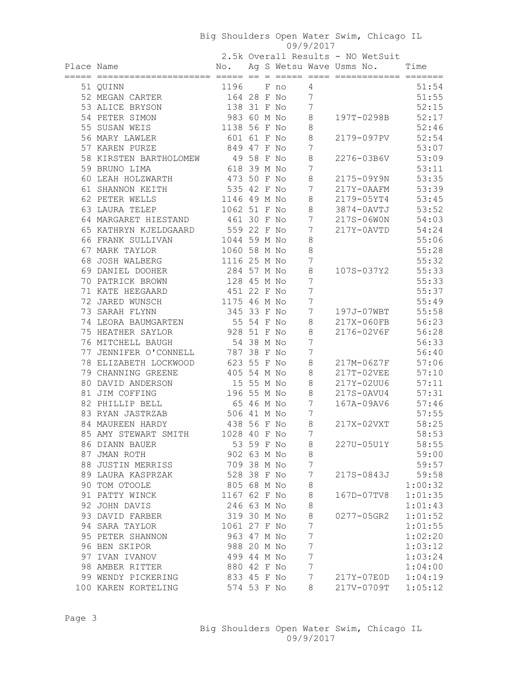Big Shoulders Open Water Swim, Chicago IL 09/9/2017 2.5k Overall Results - NO WetSuit Place Name  $\sim$  No. Ag S Wetsu Wave Usms No. Time ===== ===================== ===== == = ===== ==== ============ ======= 51 QUINN 1196 F no 4 51:54 52 MEGAN CARTER 164 28 F No 7 51:55 53 ALICE BRYSON 138 31 F No 7 52:15 54 PETER SIMON 983 60 M No 8 197T-0298B 52:17 55 SUSAN WEIS 1138 56 F No 8 52:46 56 MARY LAWLER 601 61 F No 8 2179-097PV 52:54 57 KAREN PURZE 849 47 F No 7 53:07 58 KIRSTEN BARTHOLOMEW 49 58 F No 8 2276-03B6V 53:09 59 BRUNO LIMA 618 39 M No 7 53:11 60 LEAH HOLZWARTH 473 50 F No 8 2175-09Y9N 53:35 61 SHANNON KEITH 535 42 F No 7 217Y-0AAFM 53:39 62 PETER WELLS 1146 49 M No 8 2179-05YT4 53:45 63 LAURA TELEP 1062 51 F No 8 3874-0AVTJ 53:52 64 MARGARET HIESTAND 461 30 F No 7 217S-06W0N 54:03 65 KATHRYN KJELDGAARD 559 22 F No 7 217Y-0AVTD 54:24 66 FRANK SULLIVAN 1044 59 M No 8 55:06 67 MARK TAYLOR 1060 58 M No 8 55:28 68 JOSH WALBERG 1116 25 M No 7 55:32 69 DANIEL DOOHER 284 57 M No 8 107S-037Y2 55:33 70 PATRICK BROWN 128 45 M No 7 55:33 71 KATE HEEGAARD 451 22 F No 7 55:37 72 JARED WUNSCH 1175 46 M No 7 55:49 73 SARAH FLYNN 345 33 F No 7 197J-07WBT 55:58 74 LEORA BAUMGARTEN 55 54 F No 8 217X-060FB 56:23 75 HEATHER SAYLOR 928 51 F No 8 2176-02V6F 56:28 76 MITCHELL BAUGH 54 38 M No 7 56:33 77 JENNIFER O'CONNELL 787 38 F No 7 56:40 78 ELIZABETH LOCKWOOD 623 55 F No 8 217M-06Z7F 57:06 79 CHANNING GREENE 405 54 M No 8 217T-02VEE 57:10 80 DAVID ANDERSON 15 55 M No 8 217Y-02UU6 57:11 81 JIM COFFING 196 55 M No 8 217S-0AVU4 57:31 82 PHILLIP BELL 65 46 M No 7 167A-09AV6 57:46 83 RYAN JASTRZAB 506 41 M No 7 57:55 84 MAUREEN HARDY 438 56 F No 8 217X-02VXT 58:25 85 AMY STEWART SMITH 1028 40 F No 7 58:53 86 DIANN BAUER 53 59 F No 8 227U-05U1Y 58:55 87 JMAN ROTH 902 63 M No 8 59:00 88 JUSTIN MERRISS 709 38 M No 7 59:57 89 LAURA KASPRZAK 528 38 F No 7 217S-0843J 59:58 90 TOM OTOOLE 805 68 M No 8 1:00:32 91 PATTY WINCK 1167 62 F No 8 167D-07TV8 1:01:35 92 JOHN DAVIS 246 63 M No 8 1:01:43 93 DAVID FARBER 319 30 M No 8 0277-05GR2 1:01:52 94 SARA TAYLOR 1061 27 F No 7 1:01:55 95 PETER SHANNON 963 47 M No 7 1:02:20 96 BEN SKIPOR 988 20 M No 7 1:03:12 97 IVAN IVANOV 499 44 M No 7 1:03:24 98 AMBER RITTER 880 42 F No 7 1:04:00 99 WENDY PICKERING 833 45 F No 7 217Y-07E0D 1:04:19 100 KAREN KORTELING 574 53 F No 8 217V-0709T 1:05:12